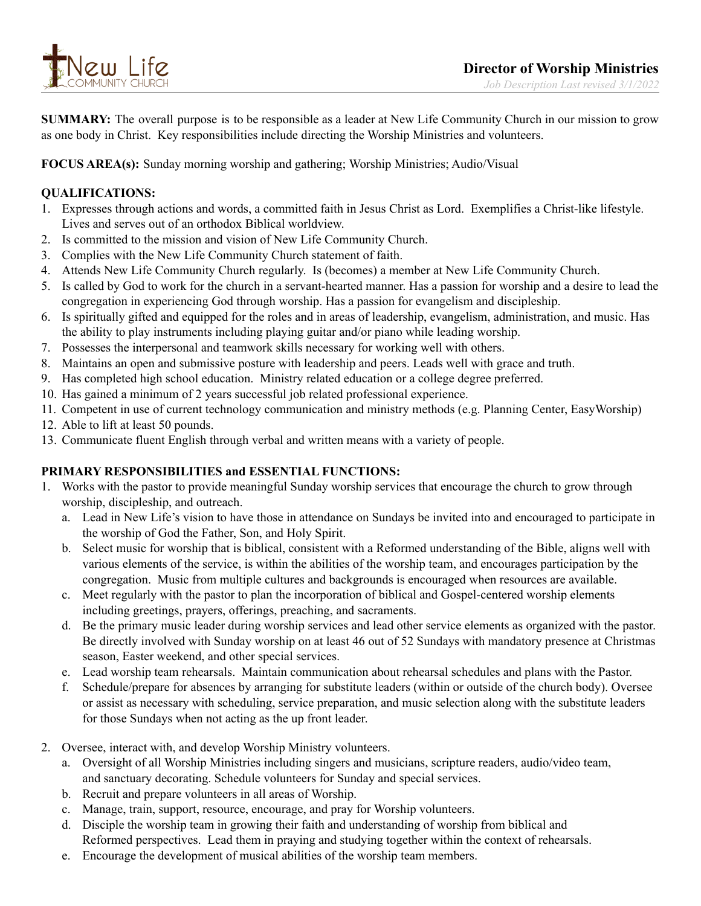

**SUMMARY:** The overall purpose is to be responsible as a leader at New Life Community Church in our mission to grow as one body in Christ. Key responsibilities include directing the Worship Ministries and volunteers.

**FOCUS AREA(s):** Sunday morning worship and gathering; Worship Ministries; Audio/Visual

## **QUALIFICATIONS:**

- 1. Expresses through actions and words, a committed faith in Jesus Christ as Lord. Exemplifies a Christ-like lifestyle. Lives and serves out of an orthodox Biblical worldview.
- 2. Is committed to the mission and vision of New Life Community Church.
- 3. Complies with the New Life Community Church statement of faith.
- 4. Attends New Life Community Church regularly. Is (becomes) a member at New Life Community Church.
- 5. Is called by God to work for the church in a servant-hearted manner. Has a passion for worship and a desire to lead the congregation in experiencing God through worship. Has a passion for evangelism and discipleship.
- 6. Is spiritually gifted and equipped for the roles and in areas of leadership, evangelism, administration, and music. Has the ability to play instruments including playing guitar and/or piano while leading worship.
- 7. Possesses the interpersonal and teamwork skills necessary for working well with others.
- 8. Maintains an open and submissive posture with leadership and peers. Leads well with grace and truth.
- 9. Has completed high school education. Ministry related education or a college degree preferred.
- 10. Has gained a minimum of 2 years successful job related professional experience.
- 11. Competent in use of current technology communication and ministry methods (e.g. Planning Center, EasyWorship)
- 12. Able to lift at least 50 pounds.
- 13. Communicate fluent English through verbal and written means with a variety of people.

## **PRIMARY RESPONSIBILITIES and ESSENTIAL FUNCTIONS:**

- 1. Works with the pastor to provide meaningful Sunday worship services that encourage the church to grow through worship, discipleship, and outreach.
	- a. Lead in New Life's vision to have those in attendance on Sundays be invited into and encouraged to participate in the worship of God the Father, Son, and Holy Spirit.
	- b. Select music for worship that is biblical, consistent with a Reformed understanding of the Bible, aligns well with various elements of the service, is within the abilities of the worship team, and encourages participation by the congregation. Music from multiple cultures and backgrounds is encouraged when resources are available.
	- c. Meet regularly with the pastor to plan the incorporation of biblical and Gospel-centered worship elements including greetings, prayers, offerings, preaching, and sacraments.
	- d. Be the primary music leader during worship services and lead other service elements as organized with the pastor. Be directly involved with Sunday worship on at least 46 out of 52 Sundays with mandatory presence at Christmas season, Easter weekend, and other special services.
	- e. Lead worship team rehearsals. Maintain communication about rehearsal schedules and plans with the Pastor.
	- f. Schedule/prepare for absences by arranging for substitute leaders (within or outside of the church body). Oversee or assist as necessary with scheduling, service preparation, and music selection along with the substitute leaders for those Sundays when not acting as the up front leader.
- 2. Oversee, interact with, and develop Worship Ministry volunteers.
	- a. Oversight of all Worship Ministries including singers and musicians, scripture readers, audio/video team, and sanctuary decorating. Schedule volunteers for Sunday and special services.
	- b. Recruit and prepare volunteers in all areas of Worship.
	- c. Manage, train, support, resource, encourage, and pray for Worship volunteers.
	- d. Disciple the worship team in growing their faith and understanding of worship from biblical and Reformed perspectives. Lead them in praying and studying together within the context of rehearsals.
	- e. Encourage the development of musical abilities of the worship team members.